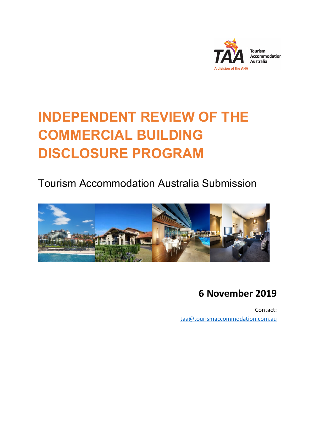

# **INDEPENDENT REVIEW OF THE COMMERCIAL BUILDING DISCLOSURE PROGRAM**

Tourism Accommodation Australia Submission



## **6 November 2019**

Contact: [taa@tourismaccommodation.com.au](mailto:taa@tourismaccommodation.com.au)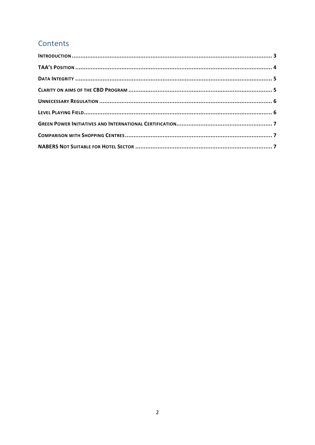### Contents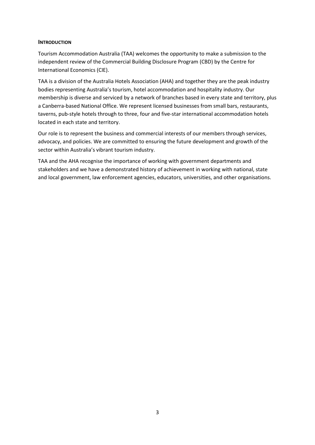#### <span id="page-2-0"></span>**INTRODUCTION**

Tourism Accommodation Australia (TAA) welcomes the opportunity to make a submission to the independent review of the Commercial Building Disclosure Program (CBD) by the Centre for International Economics (CIE).

TAA is a division of the Australia Hotels Association (AHA) and together they are the peak industry bodies representing Australia's tourism, hotel accommodation and hospitality industry. Our membership is diverse and serviced by a network of branches based in every state and territory, plus a Canberra-based National Office. We represent licensed businesses from small bars, restaurants, taverns, pub-style hotels through to three, four and five-star international accommodation hotels located in each state and territory.

Our role is to represent the business and commercial interests of our members through services, advocacy, and policies. We are committed to ensuring the future development and growth of the sector within Australia's vibrant tourism industry.

TAA and the AHA recognise the importance of working with government departments and stakeholders and we have a demonstrated history of achievement in working with national, state and local government, law enforcement agencies, educators, universities, and other organisations.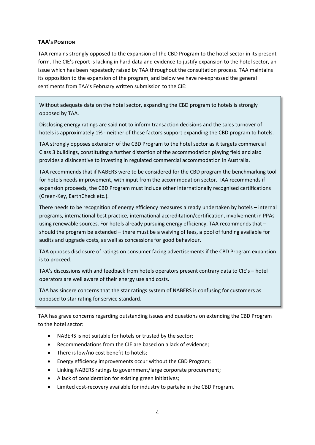#### <span id="page-3-0"></span>**TAA'S POSITION**

TAA remains strongly opposed to the expansion of the CBD Program to the hotel sector in its present form. The CIE's report is lacking in hard data and evidence to justify expansion to the hotel sector, an issue which has been repeatedly raised by TAA throughout the consultation process. TAA maintains its opposition to the expansion of the program, and below we have re-expressed the general sentiments from TAA's February written submission to the CIE:

Without adequate data on the hotel sector, expanding the CBD program to hotels is strongly opposed by TAA.

Disclosing energy ratings are said not to inform transaction decisions and the sales turnover of hotels is approximately 1% - neither of these factors support expanding the CBD program to hotels.

TAA strongly opposes extension of the CBD Program to the hotel sector as it targets commercial Class 3 buildings, constituting a further distortion of the accommodation playing field and also provides a disincentive to investing in regulated commercial accommodation in Australia.

TAA recommends that if NABERS were to be considered for the CBD program the benchmarking tool for hotels needs improvement, with input from the accommodation sector. TAA recommends if expansion proceeds, the CBD Program must include other internationally recognised certifications (Green-Key, EarthCheck etc.).

There needs to be recognition of energy efficiency measures already undertaken by hotels – internal programs, international best practice, international accreditation/certification, involvement in PPAs using renewable sources. For hotels already pursuing energy efficiency, TAA recommends that should the program be extended – there must be a waiving of fees, a pool of funding available for audits and upgrade costs, as well as concessions for good behaviour.

TAA opposes disclosure of ratings on consumer facing advertisements if the CBD Program expansion is to proceed.

TAA's discussions with and feedback from hotels operators present contrary data to CIE's – hotel operators are well aware of their energy use and costs.

TAA has sincere concerns that the star ratings system of NABERS is confusing for customers as opposed to star rating for service standard.

TAA has grave concerns regarding outstanding issues and questions on extending the CBD Program to the hotel sector:

- NABERS is not suitable for hotels or trusted by the sector;
- Recommendations from the CIE are based on a lack of evidence;
- There is low/no cost benefit to hotels;
- Energy efficiency improvements occur without the CBD Program;
- Linking NABERS ratings to government/large corporate procurement;
- A lack of consideration for existing green initiatives;
- Limited cost-recovery available for industry to partake in the CBD Program.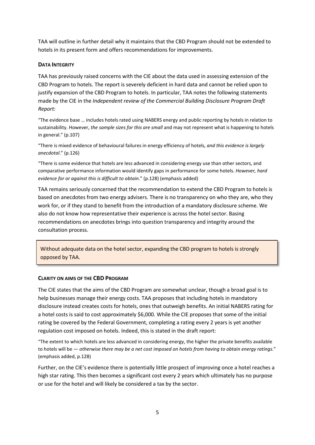TAA will outline in further detail why it maintains that the CBD Program should not be extended to hotels in its present form and offers recommendations for improvements.

#### <span id="page-4-0"></span>**DATA INTEGRITY**

TAA has previously raised concerns with the CIE about the data used in assessing extension of the CBD Program to hotels. The report is severely deficient in hard data and cannot be relied upon to justify expansion of the CBD Program to hotels. In particular, TAA notes the following statements made by the CIE in the *Independent review of the Commercial Building Disclosure Program Draft Report*:

"The evidence base … includes hotels rated using NABERS energy and public reporting by hotels in relation to sustainability. However, *the sample sizes for this are small* and may not represent what is happening to hotels in general." (p.107)

"There is mixed evidence of behavioural failures in energy efficiency of hotels, *and this evidence is largely anecdotal*." (p.126)

"There is some evidence that hotels are less advanced in considering energy use than other sectors, and comparative performance information would identify gaps in performance for some hotels. *However, hard evidence for or against this is difficult to obtain.*" (p.128) (emphasis added)

TAA remains seriously concerned that the recommendation to extend the CBD Program to hotels is based on anecdotes from two energy advisers. There is no transparency on who they are, who they work for, or if they stand to benefit from the introduction of a mandatory disclosure scheme. We also do not know how representative their experience is across the hotel sector. Basing recommendations on anecdotes brings into question transparency and integrity around the consultation process.

Without adequate data on the hotel sector, expanding the CBD program to hotels is strongly opposed by TAA.

#### <span id="page-4-1"></span>**CLARITY ON AIMS OF THE CBD PROGRAM**

The CIE states that the aims of the CBD Program are somewhat unclear, though a broad goal is to help businesses manage their energy costs. TAA proposes that including hotels in mandatory disclosure instead creates costs for hotels, ones that outweigh benefits. An initial NABERS rating for a hotel costs is said to cost approximately \$6,000. While the CIE proposes that some of the initial rating be covered by the Federal Government, completing a rating every 2 years is yet another regulation cost imposed on hotels. Indeed, this is stated in the draft report:

"The extent to which hotels are less advanced in considering energy, the higher the private benefits available to hotels will be — *otherwise there may be a net cost imposed on hotels from having to obtain energy ratings*." (emphasis added, p.128)

Further, on the CIE's evidence there is potentially little prospect of improving once a hotel reaches a high star rating. This then becomes a significant cost every 2 years which ultimately has no purpose or use for the hotel and will likely be considered a tax by the sector.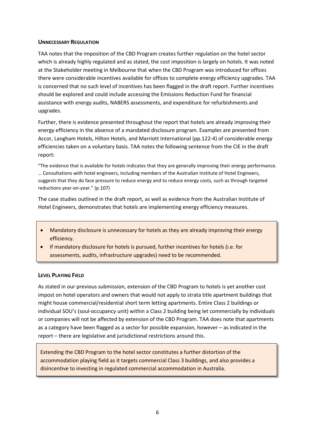#### <span id="page-5-0"></span>**UNNECESSARY REGULATION**

TAA notes that the imposition of the CBD Program creates further regulation on the hotel sector which is already highly regulated and as stated, the cost imposition is largely on hotels. It was noted at the Stakeholder meeting in Melbourne that when the CBD Program was introduced for offices there were considerable incentives available for offices to complete energy efficiency upgrades. TAA is concerned that no such level of incentives has been flagged in the draft report. Further incentives should be explored and could include accessing the Emissions Reduction Fund for financial assistance with energy audits, NABERS assessments, and expenditure for refurbishments and upgrades.

Further, there is evidence presented throughout the report that hotels are already improving their energy efficiency in the absence of a mandated disclosure program. Examples are presented from Accor, Langham Hotels, Hilton Hotels, and Marriott International (pp.122-4) of considerable energy efficiencies taken on a voluntary basis. TAA notes the following sentence from the CIE in the draft report:

"The evidence that is available for hotels indicates that they are generally improving their energy performance. … Consultations with hotel engineers, including members of the Australian Institute of Hotel Engineers, suggests that they do face pressure to reduce energy and to reduce energy costs, such as through targeted reductions year-on-year." (p.107)

The case studies outlined in the draft report, as well as evidence from the Australian Institute of Hotel Engineers, demonstrates that hotels are implementing energy efficiency measures.

- Mandatory disclosure is unnecessary for hotels as they are already improving their energy efficiency.
- If mandatory disclosure for hotels is pursued, further incentives for hotels (i.e. for assessments, audits, infrastructure upgrades) need to be recommended.

#### <span id="page-5-1"></span>**LEVEL PLAYING FIELD**

As stated in our previous submission, extension of the CBD Program to hotels is yet another cost impost on hotel operators and owners that would not apply to strata title apartment buildings that might house commercial/residential short term letting apartments. Entire Class 2 buildings or individual SOU's (soul-occupancy unit) within a Class 2 building being let commercially by individuals or companies will not be affected by extension of the CBD Program. TAA does note that apartments as a category have been flagged as a sector for possible expansion, however – as indicated in the report – there are legislative and jurisdictional restrictions around this.

Extending the CBD Program to the hotel sector constitutes a further distortion of the accommodation playing field as it targets commercial Class 3 buildings, and also provides a disincentive to investing in regulated commercial accommodation in Australia.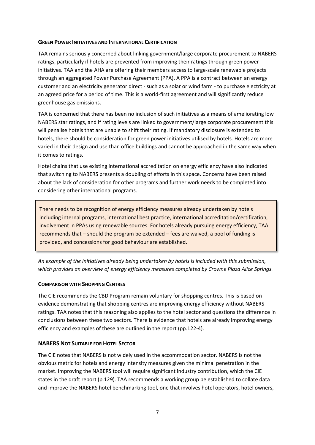#### <span id="page-6-0"></span>**GREEN POWER INITIATIVES AND INTERNATIONAL CERTIFICATION**

TAA remains seriously concerned about linking government/large corporate procurement to NABERS ratings, particularly if hotels are prevented from improving their ratings through green power initiatives. TAA and the AHA are offering their members access to large-scale renewable projects through an aggregated Power Purchase Agreement (PPA). A PPA is a contract between an energy customer and an electricity generator direct - such as a solar or wind farm - to purchase electricity at an agreed price for a period of time. This is a world-first agreement and will significantly reduce greenhouse gas emissions.

TAA is concerned that there has been no inclusion of such initiatives as a means of ameliorating low NABERS star ratings, and if rating levels are linked to government/large corporate procurement this will penalise hotels that are unable to shift their rating. If mandatory disclosure is extended to hotels, there should be consideration for green power initiatives utilised by hotels. Hotels are more varied in their design and use than office buildings and cannot be approached in the same way when it comes to ratings.

Hotel chains that use existing international accreditation on energy efficiency have also indicated that switching to NABERS presents a doubling of efforts in this space. Concerns have been raised about the lack of consideration for other programs and further work needs to be completed into considering other international programs.

There needs to be recognition of energy efficiency measures already undertaken by hotels including internal programs, international best practice, international accreditation/certification, involvement in PPAs using renewable sources. For hotels already pursuing energy efficiency, TAA recommends that – should the program be extended – fees are waived, a pool of funding is provided, and concessions for good behaviour are established.

*An example of the initiatives already being undertaken by hotels is included with this submission, which provides an overview of energy efficiency measures completed by Crowne Plaza Alice Springs.* 

#### <span id="page-6-1"></span>**COMPARISON WITH SHOPPING CENTRES**

The CIE recommends the CBD Program remain voluntary for shopping centres. This is based on evidence demonstrating that shopping centres are improving energy efficiency without NABERS ratings. TAA notes that this reasoning also applies to the hotel sector and questions the difference in conclusions between these two sectors. There is evidence that hotels are already improving energy efficiency and examples of these are outlined in the report (pp.122-4).

#### <span id="page-6-2"></span>**NABERS NOT SUITABLE FOR HOTEL SECTOR**

The CIE notes that NABERS is not widely used in the accommodation sector. NABERS is not the obvious metric for hotels and energy intensity measures given the minimal penetration in the market. Improving the NABERS tool will require significant industry contribution, which the CIE states in the draft report (p.129). TAA recommends a working group be established to collate data and improve the NABERS hotel benchmarking tool, one that involves hotel operators, hotel owners,